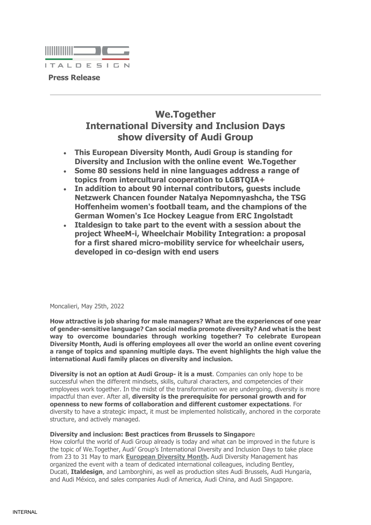

# **We.Together International Diversity and Inclusion Days show diversity of Audi Group**

- **This European Diversity Month, Audi Group is standing for Diversity and Inclusion with the online event We.Together**
- **Some 80 sessions held in nine languages address a range of topics from intercultural cooperation to LGBTQIA+**
- **In addition to about 90 internal contributors, guests include Netzwerk Chancen founder Natalya Nepomnyashcha, the TSG Hoffenheim women's football team, and the champions of the German Women's Ice Hockey League from ERC Ingolstadt**
- **Italdesign to take part to the event with a session about the project WheeM-i, Wheelchair Mobility Integration: a proposal for a first shared micro-mobility service for wheelchair users, developed in co-design with end users**

Moncalieri, May 25th, 2022

**How attractive is job sharing for male managers? What are the experiences of one year of gender-sensitive language? Can social media promote diversity? And what is the best way to overcome boundaries through working together? To celebrate European Diversity Month, Audi is offering employees all over the world an online event covering a range of topics and spanning multiple days. The event highlights the high value the international Audi family places on diversity and inclusion.**

**Diversity is not an option at Audi Group- it is a must**. Companies can only hope to be successful when the different mindsets, skills, cultural characters, and competencies of their employees work together. In the midst of the transformation we are undergoing, diversity is more impactful than ever. After all, **diversity is the prerequisite for personal growth and for openness to new forms of collaboration and different customer expectations**. For diversity to have a strategic impact, it must be implemented holistically, anchored in the corporate structure, and actively managed.

# **Diversity and inclusion: Best practices from Brussels to Singapor**e

How colorful the world of Audi Group already is today and what can be improved in the future is the topic of We.Together, Audi' Group's International Diversity and Inclusion Days to take place from 23 to 31 May to mark **[European Diversity Month.](https://www.eudiversity2022.eu/)** Audi Diversity Management has organized the event with a team of dedicated international colleagues, including Bentley, Ducati, **Italdesign**, and Lamborghini, as well as production sites Audi Brussels, Audi Hungaria, and Audi México, and sales companies Audi of America, Audi China, and Audi Singapore.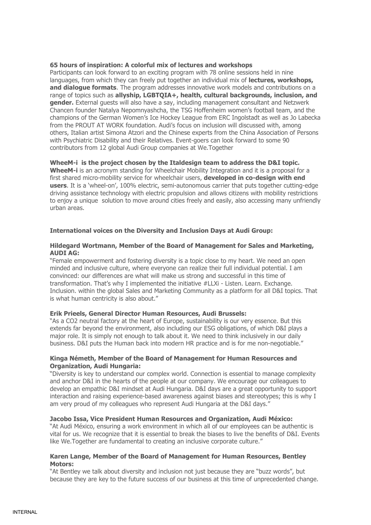## **65 hours of inspiration: A colorful mix of lectures and workshops**

Participants can look forward to an exciting program with 78 online sessions held in nine languages, from which they can freely put together an individual mix of **lectures, workshops, and dialogue formats**. The program addresses innovative work models and contributions on a range of topics such as **allyship, LGBTQIA+, health, cultural backgrounds, inclusion, and gender.** External guests will also have a say, including management consultant and Netzwerk Chancen founder Natalya Nepomnyashcha, the TSG Hoffenheim women's football team, and the champions of the German Women's Ice Hockey League from ERC Ingolstadt as well as Jo Labecka from the PROUT AT WORK foundation. Audi's focus on inclusion will discussed with, among others, Italian artist Simona Atzori and the Chinese experts from the China Association of Persons with Psychiatric Disability and their Relatives. Event-goers can look forward to some 90 contributors from 12 global Audi Group companies at We.Together

# **WheeM-i is the project chosen by the Italdesign team to address the D&I topic.**

**WheeM-i** is an acronym standing for Wheelchair Mobility Integration and it is a proposal for a first shared micro-mobility service for wheelchair users, **developed in co-design with end users**. It is a 'wheel-on', 100% electric, semi-autonomous carrier that puts together cutting-edge driving assistance technology with electric propulsion and allows citizens with mobility restrictions to enjoy a unique solution to move around cities freely and easily, also accessing many unfriendly urban areas.

## **International voices on the Diversity and Inclusion Days at Audi Group:**

## **Hildegard Wortmann, Member of the Board of Management for Sales and Marketing, AUDI AG:**

"Female empowerment and fostering diversity is a topic close to my heart. We need an open minded and inclusive culture, where everyone can realize their full individual potential. I am convinced: our differences are what will make us strong and successful in this time of transformation. That's why I implemented the initiative #LLXi - Listen. Learn. Exchange. Inclusion. within the global Sales and Marketing Community as a platform for all D&I topics. That is what human centricity is also about."

#### **Erik Prieels, General Director Human Resources, Audi Brussels:**

"As a CO2 neutral factory at the heart of Europe, sustainability is our very essence. But this extends far beyond the environment, also including our ESG obligations, of which D&I plays a major role. It is simply not enough to talk about it. We need to think inclusively in our daily business. D&I puts the Human back into modern HR practice and is for me non-negotiable."

## **Kinga Németh, Member of the Board of Management for Human Resources and Organization, Audi Hungaria:**

"Diversity is key to understand our complex world. Connection is essential to manage complexity and anchor D&I in the hearts of the people at our company. We encourage our colleagues to develop an empathic D&I mindset at Audi Hungaria. D&I days are a great opportunity to support interaction and raising experience-based awareness against biases and stereotypes; this is why I am very proud of my colleagues who represent Audi Hungaria at the D&I days."

#### **Jacobo Issa, Vice President Human Resources and Organization, Audi México:**

"At Audi México, ensuring a work environment in which all of our employees can be authentic is vital for us. We recognize that it is essential to break the biases to live the benefits of D&I. Events like We.Together are fundamental to creating an inclusive corporate culture."

# **Karen Lange, Member of the Board of Management for Human Resources, Bentley Motors:**

"At Bentley we talk about diversity and inclusion not just because they are "buzz words", but because they are key to the future success of our business at this time of unprecedented change.